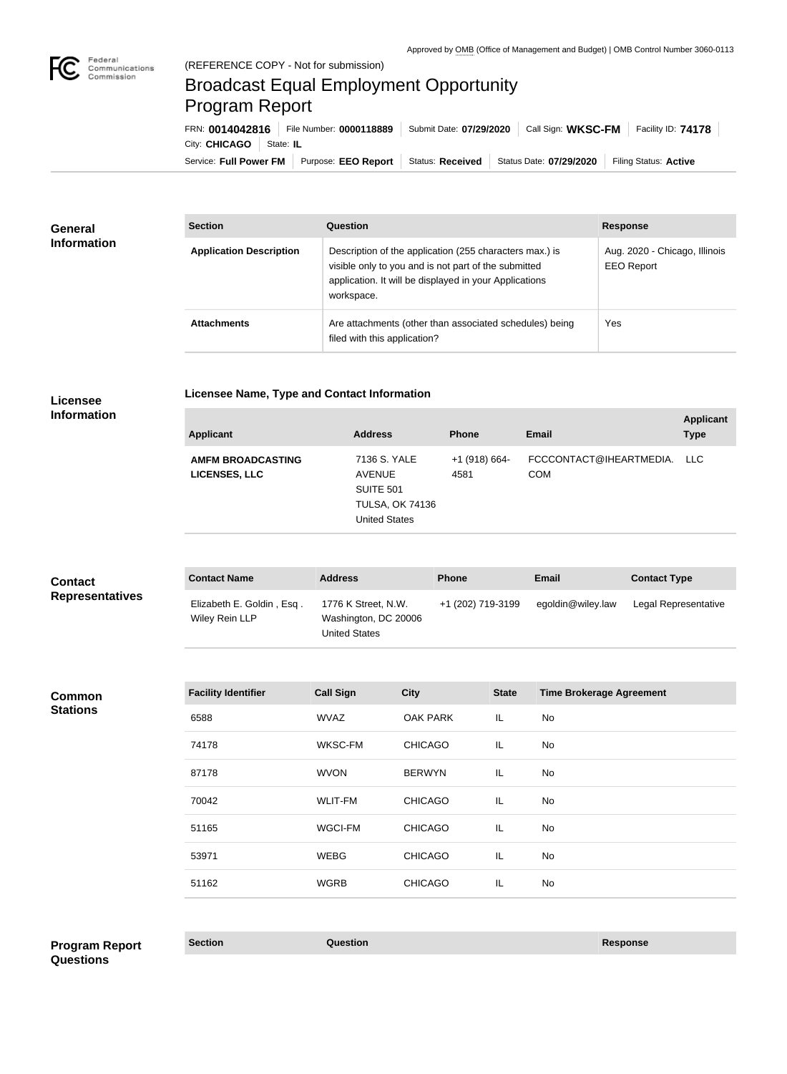

# Broadcast Equal Employment Opportunity Program Report

Service: Full Power FM Purpose: EEO Report | Status: Received | Status Date: 07/29/2020 | Filing Status: Active City: **CHICAGO** State: **IL** FRN: **0014042816** File Number: **0000118889** Submit Date: **07/29/2020** Call Sign: **WKSC-FM** Facility ID: **74178**

| General            | <b>Section</b>                 | <b>Question</b>                                                                                                                                                                         | <b>Response</b>                                    |
|--------------------|--------------------------------|-----------------------------------------------------------------------------------------------------------------------------------------------------------------------------------------|----------------------------------------------------|
| <b>Information</b> | <b>Application Description</b> | Description of the application (255 characters max.) is<br>visible only to you and is not part of the submitted<br>application. It will be displayed in your Applications<br>workspace. | Aug. 2020 - Chicago, Illinois<br><b>EEO Report</b> |
|                    | <b>Attachments</b>             | Are attachments (other than associated schedules) being<br>filed with this application?                                                                                                 | Yes                                                |

## **Licensee Information**

**Licensee Name, Type and Contact Information**

| <b>Applicant</b>                                 | <b>Address</b>                                                                               | <b>Phone</b>            | <b>Email</b>                              | <b>Applicant</b><br><b>Type</b> |
|--------------------------------------------------|----------------------------------------------------------------------------------------------|-------------------------|-------------------------------------------|---------------------------------|
| <b>AMFM BROADCASTING</b><br><b>LICENSES, LLC</b> | 7136 S. YALE<br><b>AVENUE</b><br>SUITE 501<br><b>TULSA, OK 74136</b><br><b>United States</b> | $+1$ (918) 664-<br>4581 | FCCCONTACT@IHEARTMEDIA. LLC<br><b>COM</b> |                                 |

| <b>Contact</b>         | <b>Contact Name</b>                         | <b>Address</b>                                                      | <b>Phone</b>      | Email             | <b>Contact Type</b>  |
|------------------------|---------------------------------------------|---------------------------------------------------------------------|-------------------|-------------------|----------------------|
| <b>Representatives</b> | Elizabeth E. Goldin, Esq.<br>Wiley Rein LLP | 1776 K Street, N.W.<br>Washington, DC 20006<br><b>United States</b> | +1 (202) 719-3199 | egoldin@wiley.law | Legal Representative |

#### **Common Stations**

| <b>Facility Identifier</b> | <b>Call Sign</b> | <b>City</b>     | <b>State</b> | <b>Time Brokerage Agreement</b> |
|----------------------------|------------------|-----------------|--------------|---------------------------------|
| 6588                       | <b>WVAZ</b>      | <b>OAK PARK</b> | IL.          | No                              |
| 74178                      | WKSC-FM          | <b>CHICAGO</b>  | IL.          | No                              |
| 87178                      | <b>WVON</b>      | <b>BERWYN</b>   | IL.          | No                              |
| 70042                      | <b>WLIT-FM</b>   | <b>CHICAGO</b>  | IL.          | <b>No</b>                       |
| 51165                      | <b>WGCI-FM</b>   | <b>CHICAGO</b>  | IL.          | <b>No</b>                       |
| 53971                      | <b>WEBG</b>      | <b>CHICAGO</b>  | IL.          | No                              |
| 51162                      | <b>WGRB</b>      | <b>CHICAGO</b>  | IL.          | No                              |
|                            |                  |                 |              |                                 |

## **Section Question Response Program Report Questions**